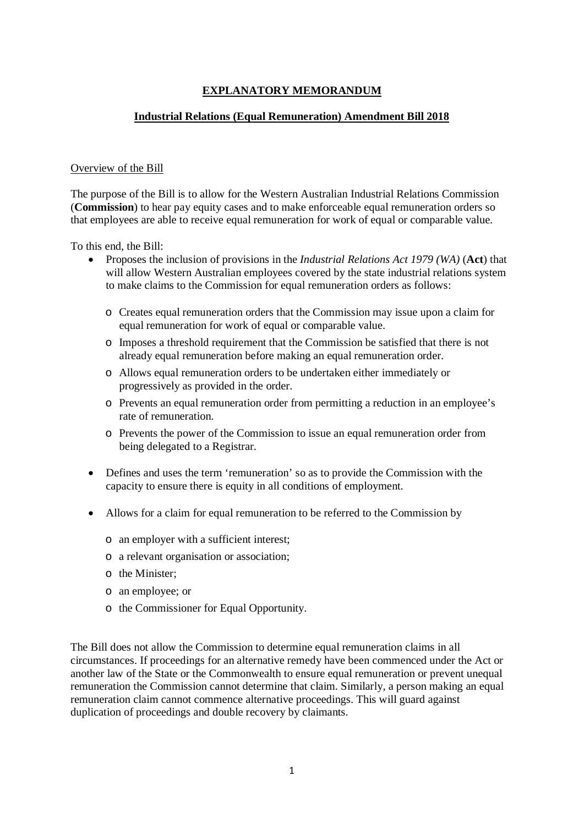# **EXPLANATORY MEMORANDUM**

#### **Industrial Relations (Equal Remuneration) Amendment Bill 2018**

#### Overview of the Bill

The purpose of the Bill is to allow for the Western Australian Industrial Relations Commission (**Commission**) to hear pay equity cases and to make enforceable equal remuneration orders so that employees are able to receive equal remuneration for work of equal or comparable value.

To this end, the Bill:

- Proposes the inclusion of provisions in the *Industrial Relations Act 1979 (WA)* (**Act**) that will allow Western Australian employees covered by the state industrial relations system to make claims to the Commission for equal remuneration orders as follows:
	- o Creates equal remuneration orders that the Commission may issue upon a claim for equal remuneration for work of equal or comparable value.
	- o Imposes a threshold requirement that the Commission be satisfied that there is not already equal remuneration before making an equal remuneration order.
	- o Allows equal remuneration orders to be undertaken either immediately or progressively as provided in the order.
	- o Prevents an equal remuneration order from permitting a reduction in an employee's rate of remuneration.
	- o Prevents the power of the Commission to issue an equal remuneration order from being delegated to a Registrar.
- Defines and uses the term 'remuneration' so as to provide the Commission with the capacity to ensure there is equity in all conditions of employment.
- Allows for a claim for equal remuneration to be referred to the Commission by
	- o an employer with a sufficient interest;
	- o a relevant organisation or association;
	- o the Minister;
	- o an employee; or
	- o the Commissioner for Equal Opportunity.

The Bill does not allow the Commission to determine equal remuneration claims in all circumstances. If proceedings for an alternative remedy have been commenced under the Act or another law of the State or the Commonwealth to ensure equal remuneration or prevent unequal remuneration the Commission cannot determine that claim. Similarly, a person making an equal remuneration claim cannot commence alternative proceedings. This will guard against duplication of proceedings and double recovery by claimants.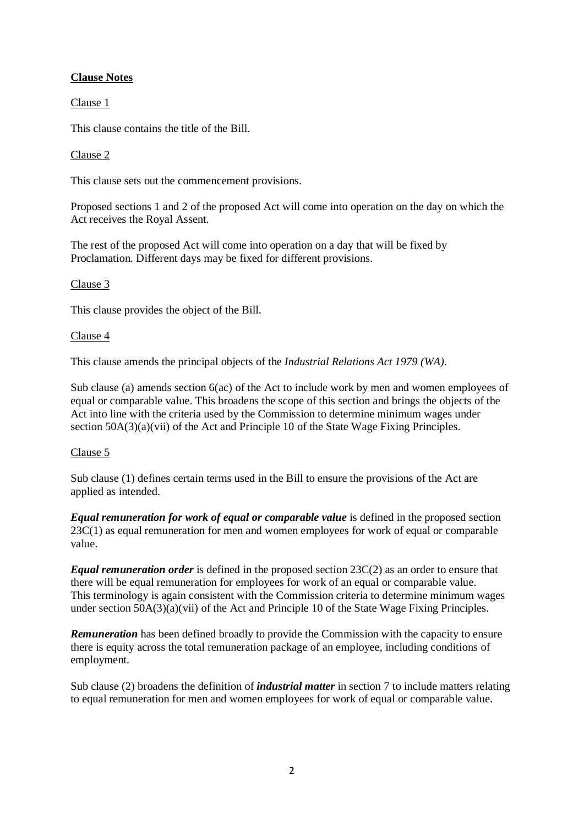# **Clause Notes**

Clause 1

This clause contains the title of the Bill.

## Clause 2

This clause sets out the commencement provisions.

Proposed sections 1 and 2 of the proposed Act will come into operation on the day on which the Act receives the Royal Assent.

The rest of the proposed Act will come into operation on a day that will be fixed by Proclamation. Different days may be fixed for different provisions.

## Clause 3

This clause provides the object of the Bill.

### Clause 4

This clause amends the principal objects of the *Industrial Relations Act 1979 (WA)*.

Sub clause (a) amends section 6(ac) of the Act to include work by men and women employees of equal or comparable value. This broadens the scope of this section and brings the objects of the Act into line with the criteria used by the Commission to determine minimum wages under section  $50A(3)(a)(vii)$  of the Act and Principle 10 of the State Wage Fixing Principles.

### Clause 5

Sub clause (1) defines certain terms used in the Bill to ensure the provisions of the Act are applied as intended.

*Equal remuneration for work of equal or comparable value* is defined in the proposed section 23C(1) as equal remuneration for men and women employees for work of equal or comparable value.

*Equal remuneration order* is defined in the proposed section 23C(2) as an order to ensure that there will be equal remuneration for employees for work of an equal or comparable value. This terminology is again consistent with the Commission criteria to determine minimum wages under section 50A(3)(a)(vii) of the Act and Principle 10 of the State Wage Fixing Principles.

**Remuneration** has been defined broadly to provide the Commission with the capacity to ensure there is equity across the total remuneration package of an employee, including conditions of employment.

Sub clause (2) broadens the definition of *industrial matter* in section 7 to include matters relating to equal remuneration for men and women employees for work of equal or comparable value.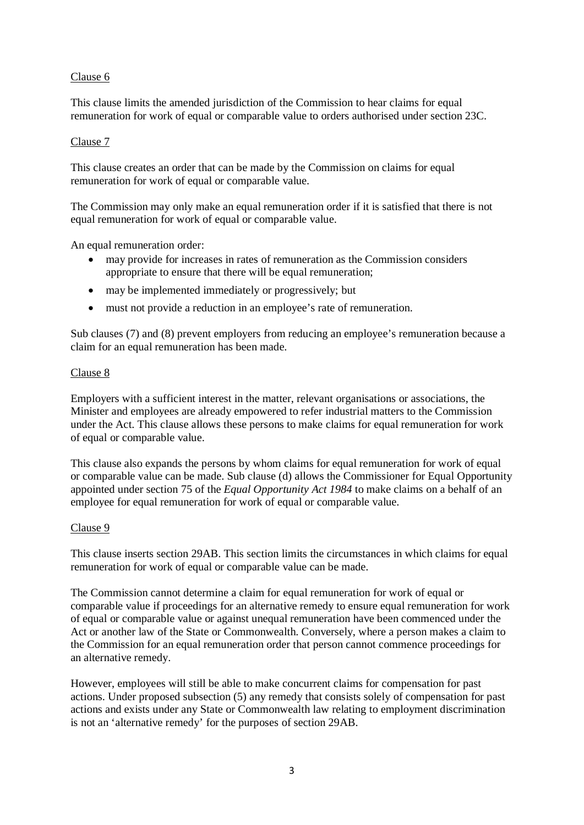### Clause 6

This clause limits the amended jurisdiction of the Commission to hear claims for equal remuneration for work of equal or comparable value to orders authorised under section 23C.

#### Clause 7

This clause creates an order that can be made by the Commission on claims for equal remuneration for work of equal or comparable value.

The Commission may only make an equal remuneration order if it is satisfied that there is not equal remuneration for work of equal or comparable value.

An equal remuneration order:

- may provide for increases in rates of remuneration as the Commission considers appropriate to ensure that there will be equal remuneration;
- may be implemented immediately or progressively; but
- must not provide a reduction in an employee's rate of remuneration.

Sub clauses (7) and (8) prevent employers from reducing an employee's remuneration because a claim for an equal remuneration has been made.

#### Clause 8

Employers with a sufficient interest in the matter, relevant organisations or associations, the Minister and employees are already empowered to refer industrial matters to the Commission under the Act. This clause allows these persons to make claims for equal remuneration for work of equal or comparable value.

This clause also expands the persons by whom claims for equal remuneration for work of equal or comparable value can be made. Sub clause (d) allows the Commissioner for Equal Opportunity appointed under section 75 of the *Equal Opportunity Act 1984* to make claims on a behalf of an employee for equal remuneration for work of equal or comparable value.

#### Clause 9

This clause inserts section 29AB. This section limits the circumstances in which claims for equal remuneration for work of equal or comparable value can be made.

The Commission cannot determine a claim for equal remuneration for work of equal or comparable value if proceedings for an alternative remedy to ensure equal remuneration for work of equal or comparable value or against unequal remuneration have been commenced under the Act or another law of the State or Commonwealth. Conversely, where a person makes a claim to the Commission for an equal remuneration order that person cannot commence proceedings for an alternative remedy.

However, employees will still be able to make concurrent claims for compensation for past actions. Under proposed subsection (5) any remedy that consists solely of compensation for past actions and exists under any State or Commonwealth law relating to employment discrimination is not an 'alternative remedy' for the purposes of section 29AB.